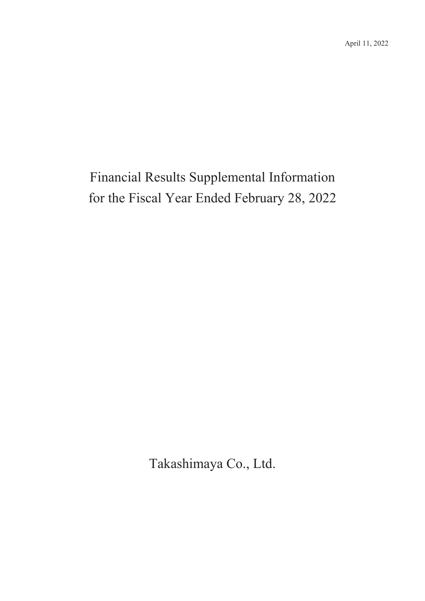# Financial Results Supplemental Information for the Fiscal Year Ended February 28, 2022

Takashimaya Co., Ltd.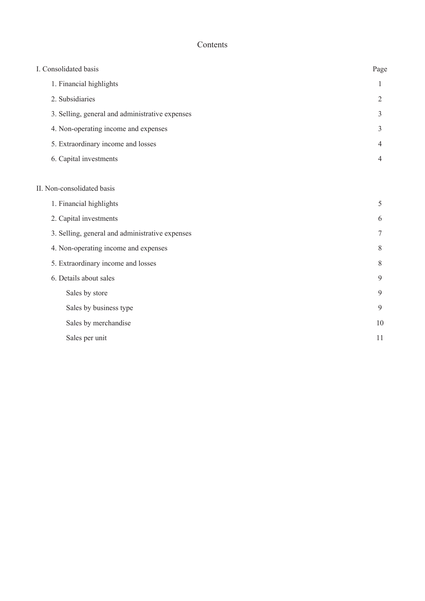#### Contents

| I. Consolidated basis                           | Page |
|-------------------------------------------------|------|
| 1. Financial highlights                         | 1    |
| 2. Subsidiaries                                 | 2    |
| 3. Selling, general and administrative expenses | 3    |
| 4. Non-operating income and expenses            | 3    |
| 5. Extraordinary income and losses              | 4    |
| 6. Capital investments                          | 4    |
|                                                 |      |
| II. Non-consolidated basis                      |      |
| 1. Financial highlights                         | 5    |
| 2. Capital investments                          | 6    |
| 3. Selling, general and administrative expenses | 7    |
| 4. Non-operating income and expenses            | 8    |
| 5. Extraordinary income and losses              | 8    |
| 6. Details about sales                          | 9    |
| Sales by store                                  | 9    |
| Sales by business type                          | 9    |
| Sales by merchandise                            | 10   |
| Sales per unit                                  | 11   |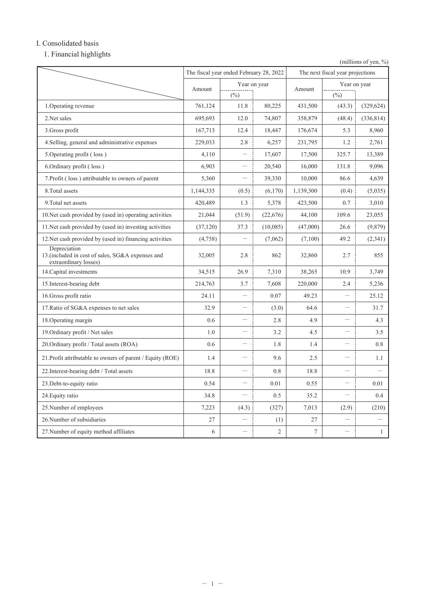#### I. Consolidated basis

1. Financial highlights

(millions of yen,  $\%$ )

|                                                                                            | The fiscal year ended February 28, 2022 |                          | The next fiscal year projections |           |                          |              |
|--------------------------------------------------------------------------------------------|-----------------------------------------|--------------------------|----------------------------------|-----------|--------------------------|--------------|
|                                                                                            | Amount                                  |                          | Year on year                     | Amount    | Year on year             |              |
|                                                                                            |                                         | $(\%)$                   |                                  |           | $(\%)$                   |              |
| 1. Operating revenue                                                                       | 761,124                                 | 11.8                     | 80,225                           | 431,500   | (43.3)                   | (329, 624)   |
| 2.Net sales                                                                                | 695,693                                 | 12.0                     | 74,807                           | 358,879   | (48.4)                   | (336, 814)   |
| 3. Gross profit                                                                            | 167,713                                 | 12.4                     | 18,447                           | 176,674   | 5.3                      | 8,960        |
| 4. Selling, general and administrative expenses                                            | 229,033                                 | 2.8                      | 6,257                            | 231,795   | 1.2                      | 2,761        |
| 5. Operating profit (loss)                                                                 | 4,110                                   |                          | 17,607                           | 17,500    | 325.7                    | 13,389       |
| 6. Ordinary profit (loss)                                                                  | 6,903                                   |                          | 20,540                           | 16,000    | 131.8                    | 9,096        |
| 7. Profit (loss) attributable to owners of parent                                          | 5,360                                   |                          | 39,330                           | 10,000    | 86.6                     | 4,639        |
| 8. Total assets                                                                            | 1,144,335                               | (0.5)                    | (6,170)                          | 1,139,300 | (0.4)                    | (5,035)      |
| 9. Total net assets                                                                        | 420,489                                 | 1.3                      | 5,378                            | 423,500   | 0.7                      | 3,010        |
| 10. Net cash provided by (used in) operating activities                                    | 21,044                                  | (51.9)                   | (22,676)                         | 44,100    | 109.6                    | 23,055       |
| 11. Net cash provided by (used in) investing activities                                    | (37, 120)                               | 37.3                     | (10,085)                         | (47,000)  | 26.6                     | (9,879)      |
| 12. Net cash provided by (used in) financing activities                                    | (4,758)                                 |                          | (7,062)                          | (7,100)   | 49.2                     | (2,341)      |
| Depreciation<br>13. (included in cost of sales, SG&A expenses and<br>extraordinary losses) | 32,005                                  | 2.8                      | 862                              | 32,860    | 2.7                      | 855          |
| 14. Capital investments                                                                    | 34,515                                  | 26.9                     | 7,310                            | 38,265    | 10.9                     | 3,749        |
| 15. Interest-bearing debt                                                                  | 214,763                                 | 3.7                      | 7,608                            | 220,000   | 2.4                      | 5,236        |
| 16. Gross profit ratio                                                                     | 24.11                                   | $\overline{\phantom{0}}$ | 0.07                             | 49.23     | $\overline{\phantom{0}}$ | 25.12        |
| 17. Ratio of SG&A expenses to net sales                                                    | 32.9                                    | $\overline{\phantom{0}}$ | (3.0)                            | 64.6      | $\overline{\phantom{0}}$ | 31.7         |
| 18. Operating margin                                                                       | 0.6                                     | $\overline{\phantom{0}}$ | 2.8                              | 4.9       | $\overline{\phantom{0}}$ | 4.3          |
| 19. Ordinary profit / Net sales                                                            | 1.0                                     | $\overline{\phantom{0}}$ | 3.2                              | 4.5       | $\qquad \qquad$          | 3.5          |
| 20. Ordinary profit / Total assets (ROA)                                                   | 0.6                                     |                          | 1.8                              | 1.4       |                          | 0.8          |
| 21. Profit attributable to owners of parent / Equity (ROE)                                 | 1.4                                     | $\overline{\phantom{0}}$ | 9.6                              | 2.5       |                          | 1.1          |
| 22. Interest-bearing debt / Total assets                                                   | 18.8                                    |                          | 0.8                              | 18.8      |                          |              |
| 23. Debt-to-equity ratio                                                                   | 0.54                                    |                          | 0.01                             | 0.55      | $\overline{\phantom{0}}$ | 0.01         |
| 24. Equity ratio                                                                           | 34.8                                    | $\overline{\phantom{0}}$ | 0.5                              | 35.2      | $\overline{\phantom{0}}$ | 0.4          |
| 25. Number of employees                                                                    | 7,223                                   | (4.3)                    | (327)                            | 7,013     | (2.9)                    | (210)        |
| 26. Number of subsidiaries                                                                 | 27                                      |                          | (1)                              | 27        |                          |              |
| 27. Number of equity method affiliates                                                     | 6                                       | $\overline{\phantom{0}}$ | $\overline{2}$                   | $\tau$    |                          | $\mathbf{1}$ |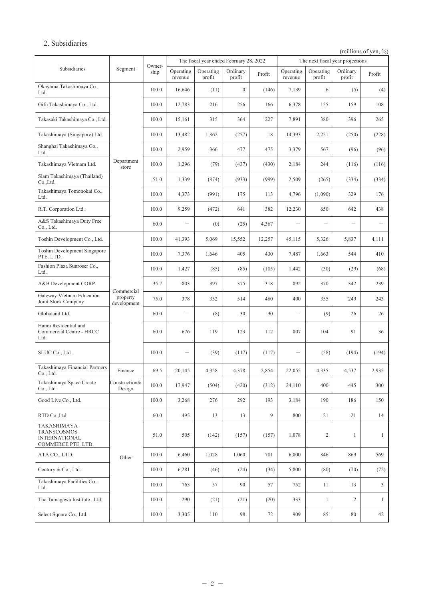#### 2. Subsidiaries

(millions of yen, %)

|                                                                          |                                       | The fiscal year ended February 28, 2022 |                          | The next fiscal year projections |                    |        |                                  |                     |                          |                |
|--------------------------------------------------------------------------|---------------------------------------|-----------------------------------------|--------------------------|----------------------------------|--------------------|--------|----------------------------------|---------------------|--------------------------|----------------|
| Subsidiaries                                                             | Segment                               | Owner-<br>ship                          | Operating<br>revenue     | Operating<br>profit              | Ordinary<br>profit | Profit | Operating<br>revenue             | Operating<br>profit | Ordinary<br>profit       | Profit         |
| Okayama Takashimaya Co.,<br>Ltd.                                         |                                       | 100.0                                   | 16,646                   | (11)                             | $\boldsymbol{0}$   | (146)  | 7,139                            | 6                   | (5)                      | (4)            |
| Gifu Takashimaya Co., Ltd.                                               |                                       | 100.0                                   | 12,783                   | 216                              | 256                | 166    | 6,378                            | 155                 | 159                      | 108            |
| Takasaki Takashimaya Co., Ltd.                                           |                                       | 100.0                                   | 15,161                   | 315                              | 364                | 227    | 7,891                            | 380                 | 396                      | 265            |
| Takashimaya (Singapore) Ltd.                                             |                                       | 100.0                                   | 13,482                   | 1,862                            | (257)              | 18     | 14,393                           | 2,251               | (250)                    | (228)          |
| Shanghai Takashimaya Co.,<br>Ltd.                                        |                                       | 100.0                                   | 2,959                    | 366                              | 477                | 475    | 3,379                            | 567                 | (96)                     | (96)           |
| Takashimaya Vietnam Ltd.                                                 | Department<br>store                   | 100.0                                   | 1,296                    | (79)                             | (437)              | (430)  | 2,184                            | 244                 | (116)                    | (116)          |
| Siam Takashimaya (Thailand)<br>Co.,Ltd.                                  |                                       | 51.0                                    | 1,339                    | (874)                            | (933)              | (999)  | 2,509                            | (265)               | (334)                    | (334)          |
| Takashimaya Tomonokai Co.,<br>Ltd.                                       |                                       | 100.0                                   | 4,373                    | (991)                            | 175                | 113    | 4,796                            | (1,090)             | 329                      | 176            |
| R.T. Corporation Ltd.                                                    |                                       | 100.0                                   | 9,259                    | (472)                            | 641                | 382    | 12,230                           | 650                 | 642                      | 438            |
| A&S Takashimaya Duty Free<br>Co., Ltd.                                   |                                       | 60.0                                    | $\overline{\phantom{0}}$ | (0)                              | (25)               | 4,367  | $\overbrace{\phantom{12322111}}$ | <u>.</u>            | $\overline{\phantom{0}}$ |                |
| Toshin Development Co., Ltd.                                             |                                       | 100.0                                   | 41,393                   | 5,069                            | 15,552             | 12,257 | 45,115                           | 5,326               | 5,837                    | 4,111          |
| Toshin Development Singapore<br>PTE. LTD.                                |                                       | 100.0                                   | 7,376                    | 1,646                            | 405                | 430    | 7,487                            | 1,663               | 544                      | 410            |
| Fashion Plaza Sunroser Co.,<br>Ltd.                                      |                                       | 100.0                                   | 1,427                    | (85)                             | (85)               | (105)  | 1,442                            | (30)                | (29)                     | (68)           |
| A&B Development CORP.                                                    |                                       | 35.7                                    | 803                      | 397                              | 375                | 318    | 892                              | 370                 | 342                      | 239            |
| Gateway Vietnam Education<br>Joint Stock Company                         | Commercial<br>property<br>development | 75.0                                    | 378                      | 352                              | 514                | 480    | 400                              | 355                 | 249                      | 243            |
| Globaland Ltd.                                                           |                                       | 60.0                                    |                          | (8)                              | 30                 | 30     | -                                | (9)                 | 26                       | 26             |
| Hanoi Residential and<br>Commercial Centre - HRCC<br>Ltd.                |                                       | 60.0                                    | 676                      | 119                              | 123                | 112    | 807                              | 104                 | 91                       | 36             |
| SLUC Co., Ltd.                                                           |                                       | 100.0                                   |                          | (39)                             | (117)              | (117)  |                                  | (58)                | (194)                    | (194)          |
| Takashimaya Financial Partners<br>Co., Ltd.                              | Finance                               | 69.5                                    | 20,145                   | 4,358                            | 4,378              | 2,854  | 22,055                           | 4,335               | 4,537                    | 2,935          |
| Takashimaya Space Create<br>Co., Ltd.                                    | Construction&<br>Design               | 100.0                                   | 17,947                   | (504)                            | (420)              | (312)  | 24,110                           | 400                 | 445                      | 300            |
| Good Live Co., Ltd.                                                      |                                       | 100.0                                   | 3,268                    | 276                              | 292                | 193    | 3,184                            | 190                 | 186                      | 150            |
| RTD Co., Ltd.                                                            |                                       | 60.0                                    | 495                      | 13                               | 13                 | 9      | 800                              | 21                  | 21                       | 14             |
| TAKASHIMAYA<br>TRANSCOSMOS<br><b>INTERNATIONAL</b><br>COMMERCE PTE. LTD. |                                       | 51.0                                    | 505                      | (142)                            | (157)              | (157)  | 1,078                            | $\overline{c}$      | $\mathbf{1}$             | $\mathbf{1}$   |
| ATA CO., LTD.                                                            | Other                                 | 100.0                                   | 6,460                    | 1,028                            | 1,060              | 701    | 6,800                            | 846                 | 869                      | 569            |
| Century & Co., Ltd.                                                      |                                       | 100.0                                   | 6,281                    | (46)                             | (24)               | (34)   | 5,800                            | (80)                | (70)                     | (72)           |
| Takashimaya Facilities Co.,<br>Ltd.                                      |                                       | 100.0                                   | 763                      | 57                               | 90                 | 57     | 752                              | 11                  | 13                       | $\mathfrak{Z}$ |
| The Tamagawa Institute., Ltd.                                            |                                       | 100.0                                   | 290                      | (21)                             | (21)               | (20)   | 333                              | 1                   | 2                        | $\mathbf{1}$   |
| Select Square Co., Ltd.                                                  |                                       | 100.0                                   | 3,305                    | 110                              | 98                 | 72     | 909                              | 85                  | 80                       | 42             |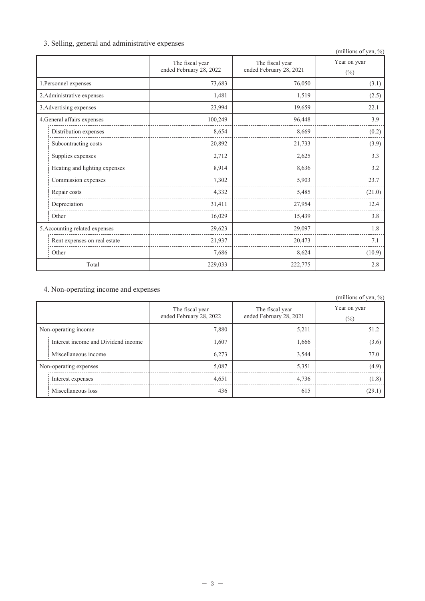# 3. Selling, general and administrative expenses

|  | $\frac{1}{2}$                                |                                      |                         | (millions of yen, %) |
|--|----------------------------------------------|--------------------------------------|-------------------------|----------------------|
|  |                                              | The fiscal year                      | The fiscal year         | Year on year         |
|  |                                              | ended February 28, 2022              | ended February 28, 2021 | $(\%)$               |
|  | 1. Personnel expenses                        | 73,683                               | 76,050                  | (3.1)                |
|  | 2. Administrative expenses                   | 1,481                                | 1,519                   | (2.5)                |
|  | 3. Advertising expenses                      | 23,994                               | 19,659                  | 22.1                 |
|  | 4. General affairs expenses                  | 100,249                              | 96,448                  | 3.9                  |
|  | Distribution expenses                        | 8,654                                | 8,669                   | (0.2)                |
|  | Subcontracting costs<br>_________________    | 20,892                               | 21,733                  | (3.9)                |
|  | Supplies expenses                            | 2,712<br>------------------------    | 2,625                   | 3.3                  |
|  | Heating and lighting expenses                | 8,914                                | 8,636                   | 3.2                  |
|  | Commission expenses<br>__________________    | 7,302                                | 5,903                   | 23.7                 |
|  | Repair costs                                 | 4,332<br>___________________________ | 5,485                   | (21.0)               |
|  | Depreciation<br>____________________________ | 31,411<br>______________________     | 27,954                  | 12.4                 |
|  | Other                                        | 16,029                               | 15,439                  | 3.8                  |
|  | 5. Accounting related expenses               | 29,623                               | 29,097                  | 1.8                  |
|  | Rent expenses on real estate                 | 21,937                               | 20,473                  | 7.1                  |
|  | Other                                        | 7,686                                | 8,624                   | (10.9)               |
|  | Total                                        | 229,033                              | 222,775                 | 2.8                  |

# 4. Non-operating income and expenses

#### (millions of ven,  $\%$ )

|                        |                                     |                                            |                                            | $\frac{1}{2}$          |
|------------------------|-------------------------------------|--------------------------------------------|--------------------------------------------|------------------------|
|                        |                                     | The fiscal year<br>ended February 28, 2022 | The fiscal year<br>ended February 28, 2021 | Year on year<br>$(\%)$ |
| Non-operating income   |                                     | 7,880                                      | 5,211                                      | 51.2                   |
|                        | Interest income and Dividend income | 1,607                                      | 1,666                                      | (3.6)                  |
|                        | Miscellaneous income                | 6.273                                      | 3.544                                      | 77.0                   |
| Non-operating expenses |                                     | 5,087                                      | 5,351                                      | (4.9)                  |
|                        | Interest expenses                   | 4,651                                      | 4,736                                      | (1.8)                  |
|                        | Miscellaneous loss                  | 436                                        | 615                                        | (29.1)                 |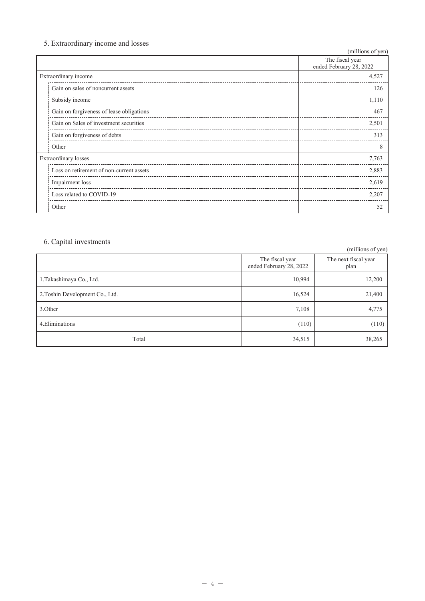# 5. Extraordinary income and losses

| (millions of yen)                        |                                            |  |  |  |  |
|------------------------------------------|--------------------------------------------|--|--|--|--|
|                                          | The fiscal year<br>ended February 28, 2022 |  |  |  |  |
| Extraordinary income                     | 4,527                                      |  |  |  |  |
| Gain on sales of noncurrent assets       | 126                                        |  |  |  |  |
| Subsidy income                           | 1,110                                      |  |  |  |  |
| Gain on forgiveness of lease obligations | 467                                        |  |  |  |  |
| Gain on Sales of investment securities   | 2,501                                      |  |  |  |  |
| Gain on forgiveness of debts             | 313                                        |  |  |  |  |
| Other                                    | 8                                          |  |  |  |  |
| <b>Extraordinary</b> losses              | 7,763                                      |  |  |  |  |
| Loss on retirement of non-current assets | 2,883                                      |  |  |  |  |
| Impairment loss                          | 2,619                                      |  |  |  |  |
| Loss related to COVID-19                 | 2,207                                      |  |  |  |  |
| Other                                    | 52                                         |  |  |  |  |

# 6. Capital investments

| 0. Capital mycsunchis           |                                            | (millions of yen)            |
|---------------------------------|--------------------------------------------|------------------------------|
|                                 | The fiscal year<br>ended February 28, 2022 | The next fiscal year<br>plan |
| 1. Takashimaya Co., Ltd.        | 10,994                                     | 12,200                       |
| 2. Toshin Development Co., Ltd. | 16,524                                     | 21,400                       |
| 3.Other                         | 7,108                                      | 4,775                        |
| 4. Eliminations                 | (110)                                      | (110)                        |
| Total                           | 34,515                                     | 38,265                       |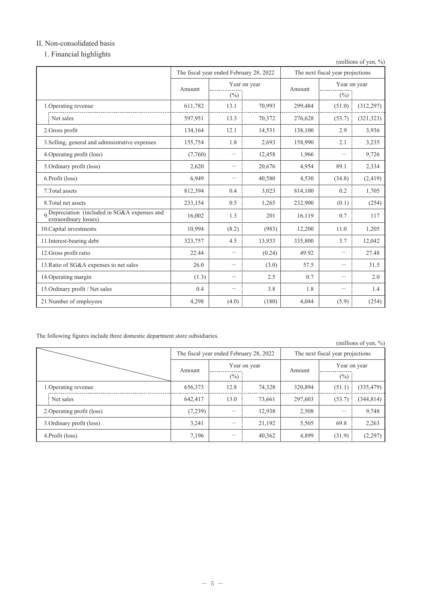# II. Non-consolidated basis

1. Financial highlights

|                                                                        |                                         |                          |              |                                  |                          | (millions of yen, %) |
|------------------------------------------------------------------------|-----------------------------------------|--------------------------|--------------|----------------------------------|--------------------------|----------------------|
|                                                                        | The fiscal year ended February 28, 2022 |                          |              | The next fiscal year projections |                          |                      |
|                                                                        | Amount                                  |                          | Year on year | Amount                           | Year on year<br>$(\%)$   |                      |
|                                                                        |                                         | $(\%)$                   |              |                                  |                          |                      |
| 1. Operating revenue                                                   | 611,782                                 | 13.1                     | 70,993       | 299,484                          | (51.0)                   | (312, 297)           |
| Net sales                                                              | 597,951                                 | 13.3                     | 70,372       | 276,628                          | (53.7)                   | (321, 323)           |
| 2.Gross profit                                                         | 134,164                                 | 12.1                     | 14,531       | 138,100                          | 2.9                      | 3,936                |
| 3. Selling, general and administrative expenses                        | 155,754                                 | 1.8                      | 2,693        | 158,990                          | 2.1                      | 3,235                |
| 4. Operating profit (loss)                                             | (7,760)                                 | —                        | 12,458       | 1,966                            |                          | 9,726                |
| 5.Ordinary profit (loss)                                               | 2,620                                   |                          | 20,676       | 4,954                            | 89.1                     | 2,334                |
| 6. Profit (loss)                                                       | 6,949                                   | $\overline{\phantom{0}}$ | 40,580       | 4,530                            | (34.8)                   | (2, 419)             |
| 7. Total assets                                                        | 812,394                                 | 0.4                      | 3,023        | 814,100                          | 0.2                      | 1,705                |
| 8. Total net assets                                                    | 233,154                                 | 0.5                      | 1,265        | 232,900                          | (0.1)                    | (254)                |
| 9 Depreciation (included in SG&A expenses and<br>extraordinary losses) | 16,002                                  | 1.3                      | 201          | 16,119                           | 0.7                      | 117                  |
| 10. Capital investments                                                | 10,994                                  | (8.2)                    | (983)        | 12,200                           | 11.0                     | 1,205                |
| 11. Interest-bearing debt                                              | 323,757                                 | 4.5                      | 13,933       | 335,800                          | 3.7                      | 12,042               |
| 12. Gross profit ratio                                                 | 22.44                                   | $\overline{\phantom{0}}$ | (0.24)       | 49.92                            | $\overline{\phantom{0}}$ | 27.48                |
| 13. Ratio of SG&A expenses to net sales                                | 26.0                                    | —                        | (3.0)        | 57.5                             | -                        | 31.5                 |
| 14. Operating margin                                                   | (1.3)                                   | $\overline{\phantom{0}}$ | 2.5          | 0.7                              | $\overline{\phantom{0}}$ | 2.0                  |
| 15. Ordinary profit / Net sales                                        | 0.4                                     | -                        | 3.8          | 1.8                              |                          | 1.4                  |
| 21. Number of employees                                                | 4,298                                   | (4.0)                    | (180)        | 4,044                            | (5.9)                    | (254)                |

The following figures include three domestic department store subsidiaries.

|                            |         |        |                                         |                                  |                        | (millions of yen, $\%$ ) |
|----------------------------|---------|--------|-----------------------------------------|----------------------------------|------------------------|--------------------------|
|                            |         |        | The fiscal year ended February 28, 2022 | The next fiscal year projections |                        |                          |
|                            | Amount  | $(\%)$ | Year on year                            | Amount                           | Year on year<br>$(\%)$ |                          |
| 1. Operating revenue       | 656,373 | 12.8   | 74,328                                  | 320,894                          | (51.1)                 | (335, 479)               |
| Net sales                  | 642,417 | 13.0   | 73,661                                  | 297,603                          | (53.7)                 | (344, 814)               |
| 2. Operating profit (loss) | (7,239) |        | 12.938                                  | 2,508                            |                        | 9,748                    |
| 3. Ordinary profit (loss)  | 3,241   |        | 21,192                                  | 5,505                            | 69.8                   | 2,263                    |
| 4. Profit (loss)           | 7,196   |        | 40,362                                  | 4,899                            | (31.9)                 | (2, 297)                 |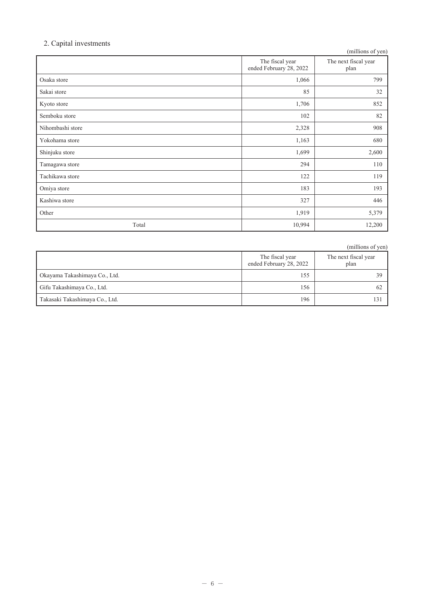#### 2. Capital investments

| л.               |                                            | (millions of yen)            |
|------------------|--------------------------------------------|------------------------------|
|                  | The fiscal year<br>ended February 28, 2022 | The next fiscal year<br>plan |
| Osaka store      | 1,066                                      | 799                          |
| Sakai store      | 85                                         | 32                           |
| Kyoto store      | 1,706                                      | 852                          |
| Semboku store    | 102                                        | 82                           |
| Nihombashi store | 2,328                                      | 908                          |
| Yokohama store   | 1,163                                      | 680                          |
| Shinjuku store   | 1,699                                      | 2,600                        |
| Tamagawa store   | 294                                        | 110                          |
| Tachikawa store  | 122                                        | 119                          |
| Omiya store      | 183                                        | 193                          |
| Kashiwa store    | 327                                        | 446                          |
| Other            | 1,919                                      | 5,379                        |
| Total            | 10,994                                     | 12,200                       |

(millions of yen) The fiscal year<br>ended February 28, 2022 The next fiscal year plan 39 Okayama Takashimaya Co., Ltd. 155 Gifu Takashimaya Co., Ltd. 156 62 Takasaki Takashimaya Co., Ltd. 196 131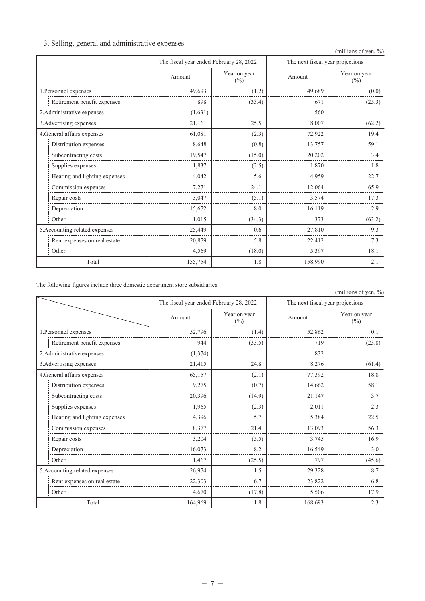# 3. Selling, general and administrative expenses

| 0' O                           |                                         |                        |                                  | (millions of yen, %)   |
|--------------------------------|-----------------------------------------|------------------------|----------------------------------|------------------------|
|                                | The fiscal year ended February 28, 2022 |                        | The next fiscal year projections |                        |
|                                | Amount                                  | Year on year<br>$(\%)$ | Amount                           | Year on year<br>$(\%)$ |
| 1. Personnel expenses          | 49,693                                  | (1.2)                  | 49,689                           | (0.0)                  |
| Retirement benefit expenses    | 898                                     | (33.4)                 | 671                              | (25.3)                 |
| 2. Administrative expenses     | (1,631)                                 |                        | 560                              |                        |
| 3. Advertising expenses        | 21,161                                  | 25.5                   | 8,007                            | (62.2)                 |
| 4. General affairs expenses    | 61,081                                  | (2.3)                  | 72,922                           | 19.4                   |
| Distribution expenses          | 8,648                                   | (0.8)                  | 13,757                           | 59.1                   |
| Subcontracting costs           | 19,547                                  | (15.0)                 | 20,202                           | 3.4                    |
| Supplies expenses              | 1,837                                   | (2.5)                  | 1,870                            | 1.8                    |
| Heating and lighting expenses  | 4,042                                   | 5.6                    | 4,959                            | 22.7                   |
| Commission expenses            | 7,271                                   | 24.1                   | 12,064                           | 65.9                   |
| Repair costs                   | 3,047                                   | (5.1)                  | 3,574                            | 17.3                   |
| Depreciation                   | 15,672                                  | 8.0                    | 16,119                           | 2.9                    |
| Other                          | 1.015                                   | (34.3)                 | 373                              | (63.2)                 |
| 5. Accounting related expenses | 25,449                                  | 0.6                    | 27,810                           | 9.3                    |
| Rent expenses on real estate   | 20,879                                  | 5.8                    | 22,412                           | 7.3                    |
| Other                          | 4,569                                   | (18.0)                 | 5,397                            | 18.1                   |
| Total                          | 155,754                                 | 1.8                    | 158,990                          | 2.1                    |

The following figures include three domestic department store subsidiaries.

| The following figures merude unce domestic aepartment store succidiarios. |          |                                         |         | (millions of yen, %)             |
|---------------------------------------------------------------------------|----------|-----------------------------------------|---------|----------------------------------|
|                                                                           |          | The fiscal year ended February 28, 2022 |         | The next fiscal year projections |
|                                                                           | Amount   | Year on year<br>$(\%)$                  | Amount  | Year on year<br>$(\%)$           |
| 1. Personnel expenses                                                     | 52,796   | (1.4)                                   | 52,862  | 0.1                              |
| Retirement benefit expenses                                               | 944      | (33.5)                                  | 719     | (23.8)                           |
| 2. Administrative expenses                                                | (1, 374) |                                         | 832     |                                  |
| 3. Advertising expenses                                                   | 21,415   | 24.8                                    | 8,276   | (61.4)                           |
| 4. General affairs expenses                                               | 65,157   | (2.1)                                   | 77,392  | 18.8                             |
| Distribution expenses                                                     | 9,275    | (0.7)                                   | 14,662  | 58.1                             |
| Subcontracting costs                                                      | 20,396   | (14.9)                                  | 21,147  | 3.7                              |
| Supplies expenses                                                         | 1,965    | (2.3)                                   | 2,011   | 2.3                              |
| Heating and lighting expenses                                             | 4,396    | 5.7                                     | 5,384   | 22.5                             |
| Commission expenses                                                       | 8,377    | 21.4                                    | 13,093  | 56.3                             |
| Repair costs                                                              | 3,204    | (5.5)                                   | 3,745   | 16.9                             |
| Depreciation                                                              | 16,073   | 8.2                                     | 16,549  | 3.0                              |
| Other                                                                     | 1,467    | (25.5)                                  | 797     | (45.6)                           |
| 5. Accounting related expenses                                            | 26,974   | 1.5                                     | 29,328  | 8.7                              |
| Rent expenses on real estate                                              | 22,303   | 6.7                                     | 23,822  | 6.8                              |
| Other                                                                     | 4,670    | (17.8)                                  | 5,506   | 17.9                             |
| Total                                                                     | 164,969  | 1.8                                     | 168,693 | 2.3                              |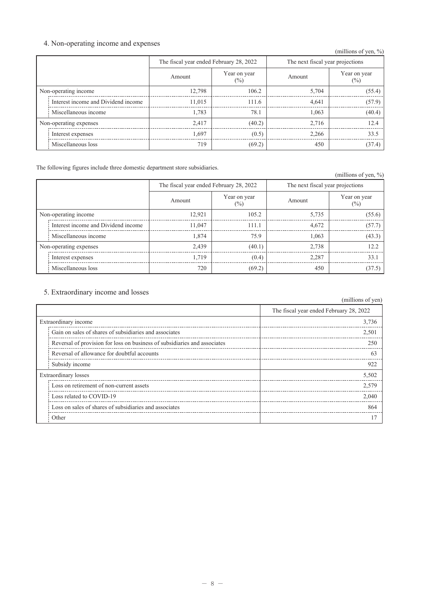# 4. Non-operating income and expenses

|                        | $\circ$                             |                                         |                        |        | (millions of yen, $\%$ )         |  |  |
|------------------------|-------------------------------------|-----------------------------------------|------------------------|--------|----------------------------------|--|--|
|                        |                                     | The fiscal year ended February 28, 2022 |                        |        | The next fiscal year projections |  |  |
|                        |                                     | Amount                                  | Year on year<br>$(\%)$ | Amount | Year on year<br>$(\%)$           |  |  |
| Non-operating income   |                                     | 12,798                                  | 106.2                  | 5,704  | (55.4)                           |  |  |
|                        | Interest income and Dividend income | 11,015                                  | 111.6                  | 4,641  | (57.9)                           |  |  |
|                        | Miscellaneous income                | 1.783                                   | 78.1                   | 1.063  | (40.4)                           |  |  |
| Non-operating expenses |                                     | 2,417                                   | (40.2)                 | 2,716  | 12.4                             |  |  |
|                        | Interest expenses                   | 1,697                                   | (0.5)                  | 2,266  | 33.5                             |  |  |
|                        | Miscellaneous loss                  | 719                                     | (69.2)                 | 450    | (37.4)                           |  |  |

The following figures include three domestic department store subsidiaries.

|                        |                                     |                                         |                        |                                  | (millions of yen, $\%$ ) |  |
|------------------------|-------------------------------------|-----------------------------------------|------------------------|----------------------------------|--------------------------|--|
|                        |                                     | The fiscal year ended February 28, 2022 |                        | The next fiscal year projections |                          |  |
|                        |                                     | Amount                                  | Year on year<br>$(\%)$ | Amount                           | Year on year<br>$(\%)$   |  |
| Non-operating income   |                                     | 12,921                                  | 105.2                  | 5,735                            | (55.6)                   |  |
|                        | Interest income and Dividend income | 11,047                                  | 111.1                  | 4,672                            | (57.7)                   |  |
|                        | Miscellaneous income                | 1,874                                   | 75.9                   | 1,063                            | (43.3)                   |  |
| Non-operating expenses |                                     | 2,439                                   | (40.1)                 | 2,738                            | 12.2                     |  |
|                        | Interest expenses                   | 1,719                                   | (0.4)                  | 2,287                            | 33.1                     |  |
|                        | Miscellaneous loss                  | 720                                     | (69.2)                 | 450                              | (37.5)                   |  |

# 5. Extraordinary income and losses

|                                                                           | (millions of yen)                       |
|---------------------------------------------------------------------------|-----------------------------------------|
|                                                                           | The fiscal year ended February 28, 2022 |
| Extraordinary income                                                      | 3,736                                   |
| Gain on sales of shares of subsidiaries and associates                    | 2,501                                   |
| Reversal of provision for loss on business of subsidiaries and associates | 250                                     |
| Reversal of allowance for doubtful accounts                               | 63                                      |
| Subsidy income                                                            | 922                                     |
| <b>Extraordinary losses</b>                                               | 5,502                                   |
| Loss on retirement of non-current assets                                  | 2,579                                   |
| Loss related to COVID-19                                                  | 2,040                                   |
| Loss on sales of shares of subsidiaries and associates                    | 864                                     |
| Other                                                                     |                                         |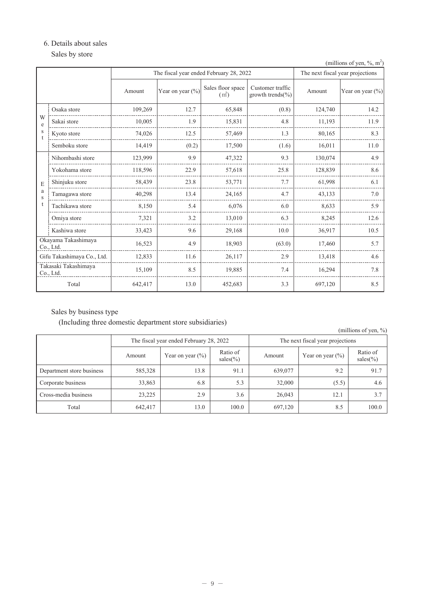#### 6. Details about sales

Sales by store

|                                         | (millions of yen, $\%$ , m <sup><math>\sim</math></sup> |         |                      |                                        |                                      |         |                      |  |
|-----------------------------------------|---------------------------------------------------------|---------|----------------------|----------------------------------------|--------------------------------------|---------|----------------------|--|
| The fiscal year ended February 28, 2022 |                                                         |         |                      |                                        | The next fiscal year projections     |         |                      |  |
|                                         |                                                         | Amount  | Year on year $(\% )$ | Sales floor space<br>(m <sup>2</sup> ) | Customer traffic<br>growth trends(%) | Amount  | Year on year $(\% )$ |  |
|                                         | Osaka store                                             | 109,269 | 12.7                 | 65,848                                 | (0.8)                                | 124,740 | 14.2                 |  |
| W<br>e                                  | Sakai store                                             | 10,005  | 1.9                  | 15,831                                 | 4.8                                  | 11,193  | 11.9                 |  |
| s                                       | Kyoto store                                             | 74,026  | 12.5                 | 57,469                                 | 1.3                                  | 80,165  | 8.3                  |  |
|                                         | Semboku store                                           | 14,419  | (0.2)                | 17,500                                 | (1.6)                                | 16,011  | 11.0                 |  |
|                                         | Nihombashi store                                        | 123,999 | 9.9                  | 47,322                                 | 9.3                                  | 130,074 | 4.9                  |  |
|                                         | Yokohama store                                          | 118,596 | 22.9                 | 57,618                                 | 25.8                                 | 128,839 | 8.6                  |  |
| E                                       | Shinjuku store                                          | 58,439  | 23.8                 | 53,771                                 | 7.7                                  | 61,998  | 6.1                  |  |
| a<br>S                                  | Tamagawa store                                          | 40,298  | 13.4                 | 24,165                                 | 4.7                                  | 43,133  | 7.0                  |  |
|                                         | Tachikawa store                                         | 8,150   | 5.4                  | 6,076                                  | 6.0                                  | 8,633   | 5.9                  |  |
|                                         | Omiya store                                             | 7,321   | 3.2                  | 13,010                                 | 6.3                                  | 8,245   | 12.6                 |  |
|                                         | Kashiwa store                                           | 33,423  | 9.6                  | 29,168                                 | 10.0                                 | 36,917  | 10.5                 |  |
| Okayama Takashimaya<br>Co., Ltd.        |                                                         | 16,523  | 4.9                  | 18,903                                 | (63.0)                               | 17,460  | 5.7                  |  |
| Gifu Takashimaya Co., Ltd.              |                                                         | 12,833  | 11.6                 | 26,117                                 | 2.9                                  | 13,418  | 4.6                  |  |
| Takasaki Takashimaya<br>Co., Ltd.       |                                                         | 15,109  | 8.5                  | 19,885                                 | 7.4                                  | 16,294  | 7.8                  |  |
| Total                                   |                                                         | 642,417 | 13.0                 | 452,683                                | 3.3                                  | 697,120 | 8.5                  |  |

Sales by business type

(Including three domestic department store subsidiaries)

(millions of yen, %) The fiscal year ended February 28, 2022 The next fiscal year projections Ratio of Ratio of Year on year  $(\% )$ Amount Year on year  $(\% )$ Amount sales(%) sales(%) Department store business 585,328 13.8 91.1 639,077 9.2 91.7 Corporate business 33,863 6.8  $5.3$ 32,000  $(5.5)$  $4.6$ Cross-media business 23,225 2.9  $3.6$ 26,043  $12.1$  $3.7$ Total 642,417 13.0 100.0 697,120 8.5 100.0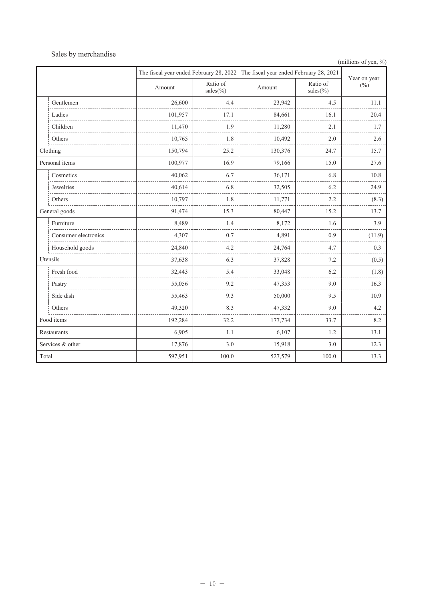# Sales by merchandise

```
(millions of yen, %)
```

|            |                      | The fiscal year ended February 28, 2022 |                        | The fiscal year ended February 28, 2021 | Year on year            |        |
|------------|----------------------|-----------------------------------------|------------------------|-----------------------------------------|-------------------------|--------|
|            |                      | Amount                                  | Ratio of<br>$sales$ %) | Amount                                  | Ratio of<br>$sales(\%)$ | $(\%)$ |
|            | Gentlemen            | 26,600                                  | 4.4                    | 23,942                                  | 4.5                     | 11.1   |
|            | Ladies               | 101,957                                 | 17.1                   | 84,661                                  | 16.1                    | 20.4   |
|            | Children             | 11,470                                  | 1.9                    | 11,280                                  | 2.1                     | 1.7    |
|            | Others               | 10,765                                  | 1.8                    | 10,492                                  | 2.0                     | 2.6    |
|            | Clothing             | 150,794                                 | 25.2                   | 130,376                                 | 24.7                    | 15.7   |
|            | Personal items       | 100,977                                 | 16.9                   | 79,166                                  | 15.0                    | 27.6   |
|            | Cosmetics            | 40,062                                  | 6.7                    | 36,171                                  | 6.8                     | 10.8   |
|            | Jewelries            | 40,614                                  | 6.8                    | 32,505                                  | 6.2                     | 24.9   |
|            | Others               | 10,797                                  | 1.8                    | 11,771                                  | 2.2                     | (8.3)  |
|            | General goods        | 91,474                                  | 15.3                   | 80,447                                  | 15.2                    | 13.7   |
|            | Furniture            | 8,489                                   | 1.4                    | 8,172                                   | 1.6                     | 3.9    |
|            | Consumer electronics | 4,307                                   | 0.7                    | 4,891                                   | 0.9                     | (11.9) |
|            | Household goods      | 24,840                                  | 4.2                    | 24,764                                  | 4.7                     | 0.3    |
|            | Utensils             | 37,638                                  | 6.3                    | 37,828                                  | 7.2                     | (0.5)  |
|            | Fresh food           | 32,443                                  | 5.4                    | 33,048                                  | 6.2                     | (1.8)  |
|            | Pastry               | 55,056                                  | 9.2                    | 47,353                                  | 9.0                     | 16.3   |
|            | Side dish            | 55,463                                  | 9.3                    | 50,000                                  | 9.5                     | 10.9   |
|            | Others               | 49,320                                  | 8.3                    | 47,332                                  | 9.0                     | 4.2    |
| Food items |                      | 192,284                                 | 32.2                   | 177,734                                 | 33.7                    | 8.2    |
|            | Restaurants          | 6,905                                   | 1.1                    | 6,107                                   | 1.2                     | 13.1   |
|            | Services & other     | 17,876                                  | 3.0                    | 15,918                                  | 3.0                     | 12.3   |
| Total      |                      | 597,951                                 | 100.0                  | 527,579                                 | 100.0                   | 13.3   |